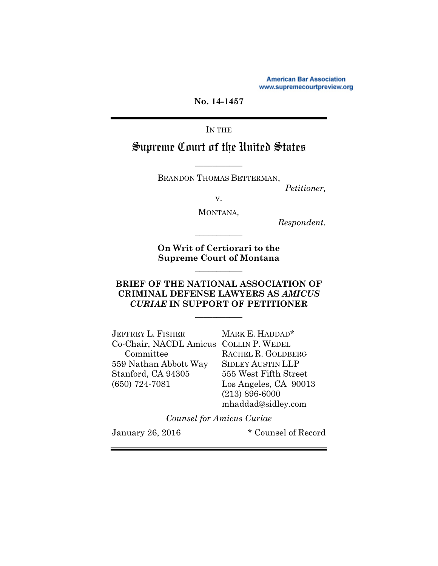**American Bar Association** www.supremecourtpreview.org

**No. 14-1457** 

IN THE

# Supreme Court of the United States

BRANDON THOMAS BETTERMAN,

**\_\_\_\_\_\_\_\_\_\_\_** 

*Petitioner,* 

v.

MONTANA*,*

*Respondent.* 

**On Writ of Certiorari to the Supreme Court of Montana** 

**\_\_\_\_\_\_\_\_\_\_\_** 

**\_\_\_\_\_\_\_\_\_\_\_** 

## **BRIEF OF THE NATIONAL ASSOCIATION OF CRIMINAL DEFENSE LAWYERS AS** *AMICUS CURIAE* **IN SUPPORT OF PETITIONER**

**\_\_\_\_\_\_\_\_\_\_\_** 

| JEFFREY L. FISHER                      | MARK E. HADDAD*          |
|----------------------------------------|--------------------------|
| Co-Chair, NACDL Amicus COLLIN P. WEDEL |                          |
| Committee                              | RACHEL R. GOLDBERG       |
| 559 Nathan Abbott Way                  | <b>SIDLEY AUSTIN LLP</b> |
| Stanford, CA 94305                     | 555 West Fifth Street    |
| $(650)$ 724-7081                       | Los Angeles, CA 90013    |
|                                        | $(213) 896 - 6000$       |
|                                        | mhaddad@sidley.com       |
|                                        |                          |

*Counsel for Amicus Curiae* 

January 26, 2016 \* Counsel of Record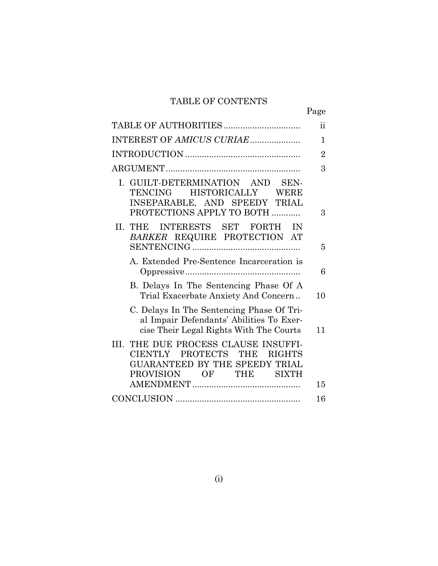# TABLE OF CONTENTS

|                                                                                                                                                           | Page           |
|-----------------------------------------------------------------------------------------------------------------------------------------------------------|----------------|
|                                                                                                                                                           | ij             |
| INTEREST OF AMICUS CURIAE                                                                                                                                 | $\mathbf{1}$   |
|                                                                                                                                                           | $\overline{2}$ |
|                                                                                                                                                           | 3              |
| I. GUILT-DETERMINATION AND SEN-<br>TENCING HISTORICALLY WERE<br>INSEPARABLE, AND SPEEDY TRIAL<br>PROTECTIONS APPLY TO BOTH                                | 3              |
| INTERESTS SET FORTH<br>II. THE<br>IN<br>BARKER REQUIRE PROTECTION AT                                                                                      | 5              |
| A. Extended Pre-Sentence Incarceration is                                                                                                                 | 6              |
| B. Delays In The Sentencing Phase Of A<br>Trial Exacerbate Anxiety And Concern                                                                            | 10             |
| C. Delays In The Sentencing Phase Of Tri-<br>al Impair Defendants' Abilities To Exer-<br>cise Their Legal Rights With The Courts                          | 11             |
| THE DUE PROCESS CLAUSE INSUFFI-<br>III.<br>PROTECTS THE<br>CIENTLY<br><b>RIGHTS</b><br>GUARANTEED BY THE SPEEDY TRIAL<br>PROVISION OF THE<br><b>SIXTH</b> | 15             |
|                                                                                                                                                           | 16             |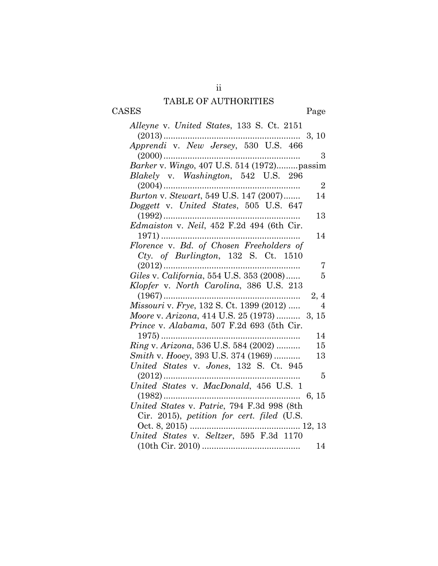# TABLE OF AUTHORITIES CASES Page

ii

| Alleyne v. United States, 133 S. Ct. 2151                  |
|------------------------------------------------------------|
| $\ldots \ldots 3, 10$<br>$(2013)$                          |
|                                                            |
| 3<br>$(2000)$                                              |
|                                                            |
| Blakely v. Washington, 542 U.S. 296                        |
| $(2004)$<br>$\overline{2}$                                 |
| Burton v. Stewart, 549 U.S. 147 (2007)<br>14               |
| Doggett v. United States, 505 U.S. 647                     |
| 13                                                         |
|                                                            |
| 14                                                         |
| Florence v. Bd. of Chosen Freeholders of                   |
| Cty. of Burlington, 132 S. Ct. 1510                        |
| $(2012)$<br>7                                              |
| Giles v. California, 554 U.S. 353 (2008)<br>5              |
| Klopfer v. North Carolina, 386 U.S. 213                    |
| $(1967)$<br>2, 4                                           |
| Missouri v. Frye, 132 S. Ct. 1399 (2012)<br>$\overline{4}$ |
| Moore v. Arizona, 414 U.S. 25 (1973)  3, 15                |
| Prince v. Alabama, 507 F.2d 693 (5th Cir.                  |
| 14                                                         |
| Ring v. Arizona, 536 U.S. 584 (2002)<br>15                 |
| Smith v. Hooey, 393 U.S. 374 (1969)<br>13                  |
| United States v. Jones, 132 S. Ct. 945                     |
| 5                                                          |
| United States v. MacDonald, 456 U.S. 1                     |
|                                                            |
| United States v. Patrie, 794 F.3d 998 (8th                 |
| Cir. 2015), petition for cert. filed (U.S.                 |
|                                                            |
| United States v. Seltzer, 595 F.3d 1170                    |
| 14                                                         |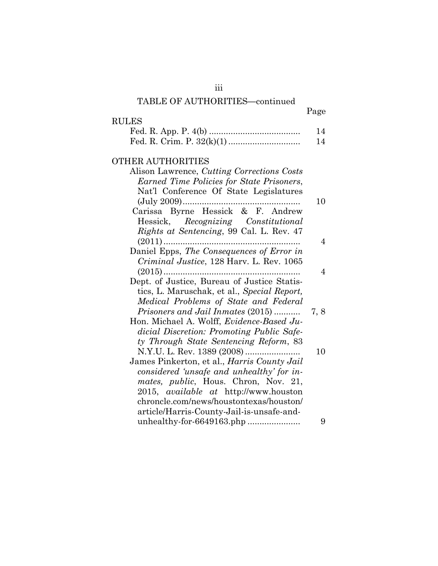# TABLE OF AUTHORITIES**—**continued

|                                                                                  | Page           |
|----------------------------------------------------------------------------------|----------------|
| <b>RULES</b>                                                                     |                |
|                                                                                  | 14<br>14       |
|                                                                                  |                |
| <b>OTHER AUTHORITIES</b>                                                         |                |
| Alison Lawrence, Cutting Corrections Costs                                       |                |
| Earned Time Policies for State Prisoners,                                        |                |
| Nat'l Conference Of State Legislatures                                           |                |
|                                                                                  | 10             |
| Carissa Byrne Hessick & F. Andrew                                                |                |
| Hessick, Recognizing Constitutional                                              |                |
| Rights at Sentencing, 99 Cal. L. Rev. 47                                         |                |
| $(2011)$                                                                         | $\overline{4}$ |
| Daniel Epps, The Consequences of Error in                                        |                |
| Criminal Justice, 128 Harv. L. Rev. 1065                                         |                |
| $(2015)$                                                                         | 4              |
| Dept. of Justice, Bureau of Justice Statis-                                      |                |
| tics, L. Maruschak, et al., Special Report,                                      |                |
| Medical Problems of State and Federal                                            |                |
| <i>Prisoners and Jail Inmates (2015)</i>                                         | 7,8            |
| Hon. Michael A. Wolff, <i>Evidence-Based Ju-</i>                                 |                |
| dicial Discretion: Promoting Public Safe-                                        |                |
| ty Through State Sentencing Reform, 83                                           | 10             |
| N.Y.U. L. Rev. 1389 (2008)<br>James Pinkerton, et al., <i>Harris County Jail</i> |                |
| considered 'unsafe and unhealthy' for in-                                        |                |
| <i>mates, public, Hous. Chron, Nov. 21,</i>                                      |                |
| 2015, <i>available at</i> http://www.houston                                     |                |
| chroncle.com/news/houstontexas/houston/                                          |                |
| article/Harris-County-Jail-is-unsafe-and-                                        |                |
| unhealthy-for-6649163.php                                                        | 9              |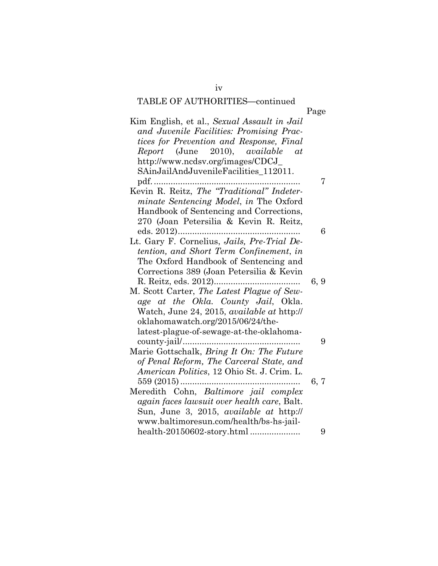# TABLE OF AUTHORITIES**—**continued

iv

|                                                | Page |
|------------------------------------------------|------|
| Kim English, et al., Sexual Assault in Jail    |      |
| and Juvenile Facilities: Promising Prac-       |      |
| tices for Prevention and Response, Final       |      |
| Report (June 2010), available<br>at            |      |
| http://www.ncdsv.org/images/CDCJ_              |      |
| SAinJailAndJuvenileFacilities_112011.          |      |
| $pdf.$                                         | 7    |
| Kevin R. Reitz, The "Traditional" Indeter-     |      |
| <i>minate Sentencing Model, in The Oxford</i>  |      |
| Handbook of Sentencing and Corrections,        |      |
| 270 (Joan Petersilia & Kevin R. Reitz,         |      |
|                                                | 6    |
| Lt. Gary F. Cornelius, Jails, Pre-Trial De-    |      |
| tention, and Short Term Confinement, in        |      |
| The Oxford Handbook of Sentencing and          |      |
| Corrections 389 (Joan Petersilia & Kevin       |      |
|                                                | 6, 9 |
| M. Scott Carter, The Latest Plague of Sew-     |      |
| age at the Okla. County Jail, Okla.            |      |
| Watch, June 24, 2015, available at http://     |      |
| oklahomawatch.org/2015/06/24/the-              |      |
| latest-plague-of-sewage-at-the-oklahoma-       |      |
|                                                | 9    |
| Marie Gottschalk, Bring It On: The Future      |      |
| of Penal Reform, The Carceral State, and       |      |
| American Politics, 12 Ohio St. J. Crim. L.     |      |
|                                                | 6, 7 |
| Meredith Cohn, <i>Baltimore jail complex</i>   |      |
| again faces lawsuit over health care, Balt.    |      |
| Sun, June 3, 2015, <i>available at http://</i> |      |
| www.baltimoresun.com/health/bs-hs-jail-        |      |
|                                                | 9    |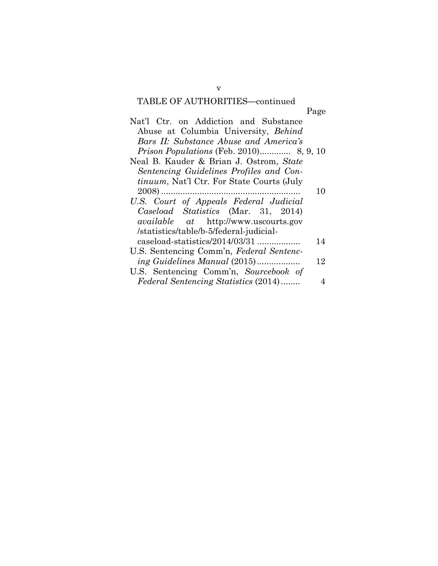# TABLE OF AUTHORITIES**—**continued

v

|                                                   | Page |
|---------------------------------------------------|------|
| Nat'l Ctr. on Addiction and Substance             |      |
| Abuse at Columbia University, Behind              |      |
| Bars II: Substance Abuse and America's            |      |
|                                                   |      |
| Neal B. Kauder & Brian J. Ostrom, State           |      |
| Sentencing Guidelines Profiles and Con-           |      |
| <i>tinuum</i> , Nat'l Ctr. For State Courts (July |      |
|                                                   | 10   |
| U.S. Court of Appeals Federal Judicial            |      |
| Caseload Statistics (Mar. 31, 2014)               |      |
| <i>available</i> at http://www.uscourts.gov       |      |
| /statistics/table/b-5/federal-judicial-           |      |
| caseload-statistics/2014/03/31                    | 14   |
| U.S. Sentencing Comm'n, Federal Sentenc-          |      |
| ing Guidelines Manual (2015)                      | 12   |
| U.S. Sentencing Comm'n, Sourcebook of             |      |
| <i>Federal Sentencing Statistics (2014)</i>       | 4    |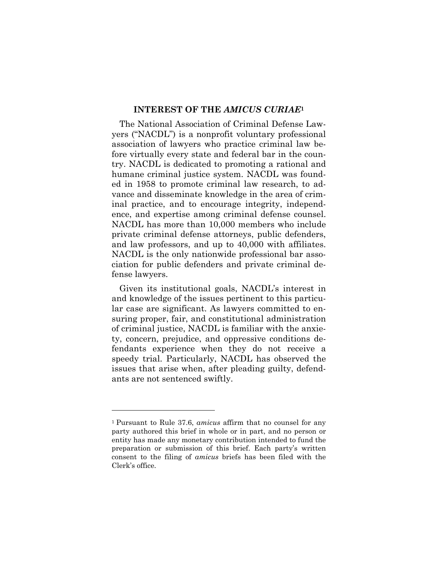### **INTEREST OF THE** *AMICUS CURIAE***<sup>1</sup>**

The National Association of Criminal Defense Lawyers ("NACDL") is a nonprofit voluntary professional association of lawyers who practice criminal law before virtually every state and federal bar in the country. NACDL is dedicated to promoting a rational and humane criminal justice system. NACDL was founded in 1958 to promote criminal law research, to advance and disseminate knowledge in the area of criminal practice, and to encourage integrity, independence, and expertise among criminal defense counsel. NACDL has more than 10,000 members who include private criminal defense attorneys, public defenders, and law professors, and up to 40,000 with affiliates. NACDL is the only nationwide professional bar association for public defenders and private criminal defense lawyers.

Given its institutional goals, NACDL's interest in and knowledge of the issues pertinent to this particular case are significant. As lawyers committed to ensuring proper, fair, and constitutional administration of criminal justice, NACDL is familiar with the anxiety, concern, prejudice, and oppressive conditions defendants experience when they do not receive a speedy trial. Particularly, NACDL has observed the issues that arise when, after pleading guilty, defendants are not sentenced swiftly.

<sup>1</sup> Pursuant to Rule 37.6, *amicus* affirm that no counsel for any party authored this brief in whole or in part, and no person or entity has made any monetary contribution intended to fund the preparation or submission of this brief. Each party's written consent to the filing of *amicus* briefs has been filed with the Clerk's office.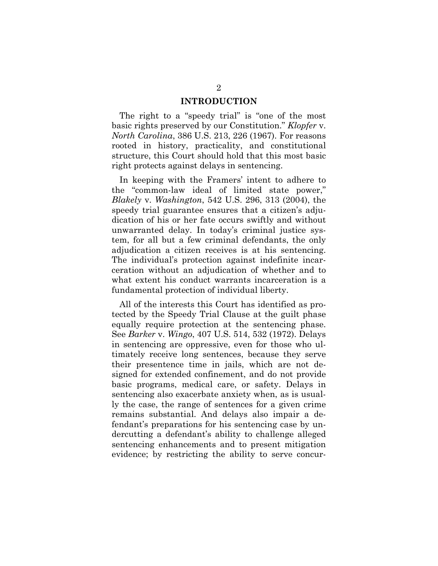### **INTRODUCTION**

The right to a "speedy trial" is "one of the most basic rights preserved by our Constitution." *Klopfer* v. *North Carolina*, 386 U.S. 213, 226 (1967). For reasons rooted in history, practicality, and constitutional structure, this Court should hold that this most basic right protects against delays in sentencing.

In keeping with the Framers' intent to adhere to the "common-law ideal of limited state power," *Blakely* v. *Washington*, 542 U.S. 296, 313 (2004), the speedy trial guarantee ensures that a citizen's adjudication of his or her fate occurs swiftly and without unwarranted delay. In today's criminal justice system, for all but a few criminal defendants, the only adjudication a citizen receives is at his sentencing. The individual's protection against indefinite incarceration without an adjudication of whether and to what extent his conduct warrants incarceration is a fundamental protection of individual liberty.

All of the interests this Court has identified as protected by the Speedy Trial Clause at the guilt phase equally require protection at the sentencing phase. See *Barker* v. *Wingo*, 407 U.S. 514, 532 (1972). Delays in sentencing are oppressive, even for those who ultimately receive long sentences, because they serve their presentence time in jails, which are not designed for extended confinement, and do not provide basic programs, medical care, or safety. Delays in sentencing also exacerbate anxiety when, as is usually the case, the range of sentences for a given crime remains substantial. And delays also impair a defendant's preparations for his sentencing case by undercutting a defendant's ability to challenge alleged sentencing enhancements and to present mitigation evidence; by restricting the ability to serve concur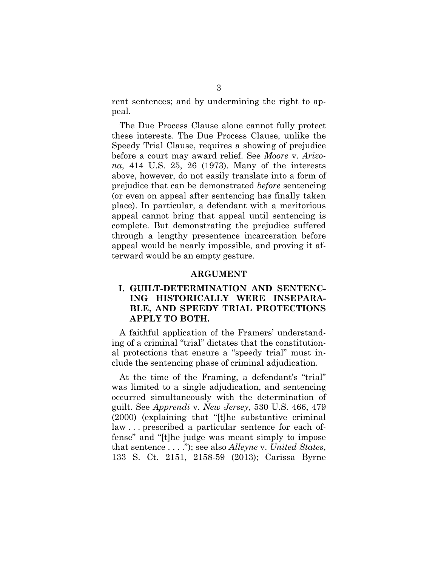rent sentences; and by undermining the right to appeal.

The Due Process Clause alone cannot fully protect these interests. The Due Process Clause, unlike the Speedy Trial Clause, requires a showing of prejudice before a court may award relief. See *Moore* v. *Arizona*, 414 U.S. 25, 26 (1973). Many of the interests above, however, do not easily translate into a form of prejudice that can be demonstrated *before* sentencing (or even on appeal after sentencing has finally taken place). In particular, a defendant with a meritorious appeal cannot bring that appeal until sentencing is complete. But demonstrating the prejudice suffered through a lengthy presentence incarceration before appeal would be nearly impossible, and proving it afterward would be an empty gesture.

#### **ARGUMENT**

## **I. GUILT-DETERMINATION AND SENTENC-ING HISTORICALLY WERE INSEPARA-BLE, AND SPEEDY TRIAL PROTECTIONS APPLY TO BOTH.**

A faithful application of the Framers' understanding of a criminal "trial" dictates that the constitutional protections that ensure a "speedy trial" must include the sentencing phase of criminal adjudication.

At the time of the Framing, a defendant's "trial" was limited to a single adjudication, and sentencing occurred simultaneously with the determination of guilt. See *Apprendi* v. *New Jersey*, 530 U.S. 466, 479 (2000) (explaining that "[t]he substantive criminal law . . . prescribed a particular sentence for each offense" and "[t]he judge was meant simply to impose that sentence . . . ."); see also *Alleyne* v. *United States*, 133 S. Ct. 2151, 2158-59 (2013); Carissa Byrne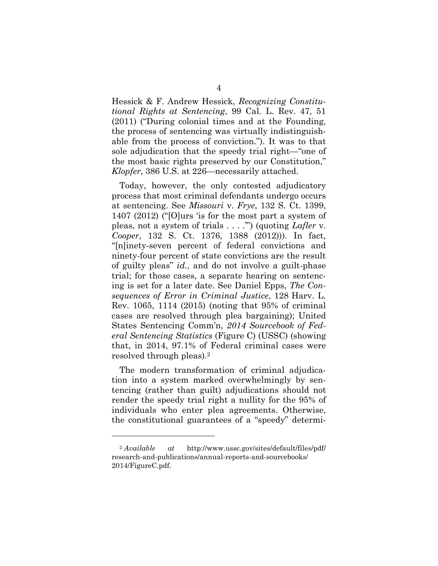Hessick & F. Andrew Hessick, *Recognizing Constitutional Rights at Sentencing*, 99 Cal. L. Rev. 47, 51 (2011) ("During colonial times and at the Founding, the process of sentencing was virtually indistinguishable from the process of conviction."). It was to that sole adjudication that the speedy trial right—"one of the most basic rights preserved by our Constitution," *Klopfer*, 386 U.S. at 226—necessarily attached.

Today, however, the only contested adjudicatory process that most criminal defendants undergo occurs at sentencing. See *Missouri* v. *Frye*, 132 S. Ct. 1399, 1407 (2012) ("[O]urs 'is for the most part a system of pleas, not a system of trials . . . .'") (quoting *Lafler* v. *Cooper*, 132 S. Ct. 1376, 1388 (2012))). In fact, "[n]inety-seven percent of federal convictions and ninety-four percent of state convictions are the result of guilty pleas" *id.*, and do not involve a guilt-phase trial; for those cases, a separate hearing on sentencing is set for a later date. See Daniel Epps, *The Consequences of Error in Criminal Justice*, 128 Harv. L. Rev. 1065, 1114 (2015) (noting that 95% of criminal cases are resolved through plea bargaining); United States Sentencing Comm'n, *2014 Sourcebook of Federal Sentencing Statistics* (Figure C) (USSC) (showing that, in 2014, 97.1% of Federal criminal cases were resolved through pleas).2

The modern transformation of criminal adjudication into a system marked overwhelmingly by sentencing (rather than guilt) adjudications should not render the speedy trial right a nullity for the 95% of individuals who enter plea agreements. Otherwise, the constitutional guarantees of a "speedy" determi-

<sup>2</sup> *Available at* http://www.ussc.gov/sites/default/files/pdf/ research-and-publications/annual-reports-and-sourcebooks/ 2014/FigureC.pdf.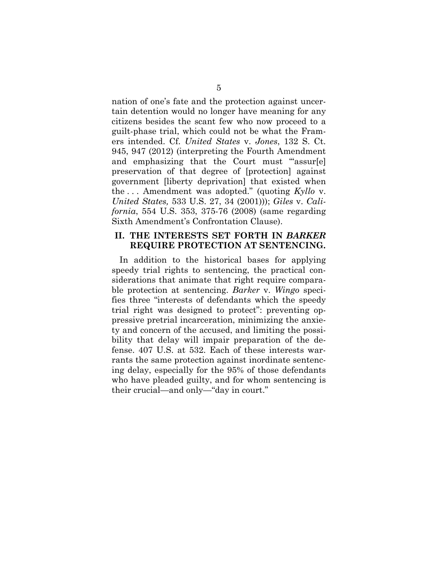nation of one's fate and the protection against uncertain detention would no longer have meaning for any citizens besides the scant few who now proceed to a guilt-phase trial, which could not be what the Framers intended. Cf. *United States* v. *Jones*, 132 S. Ct. 945, 947 (2012) (interpreting the Fourth Amendment and emphasizing that the Court must "assur[e] preservation of that degree of [protection] against government [liberty deprivation] that existed when the . . . Amendment was adopted." (quoting *Kyllo* v. *United States,* 533 U.S. 27, 34 (2001))); *Giles* v. *California*, 554 U.S. 353, 375-76 (2008) (same regarding Sixth Amendment's Confrontation Clause).

### **II. THE INTERESTS SET FORTH IN** *BARKER*  **REQUIRE PROTECTION AT SENTENCING.**

In addition to the historical bases for applying speedy trial rights to sentencing, the practical considerations that animate that right require comparable protection at sentencing. *Barker* v. *Wingo* specifies three "interests of defendants which the speedy trial right was designed to protect": preventing oppressive pretrial incarceration, minimizing the anxiety and concern of the accused, and limiting the possibility that delay will impair preparation of the defense. 407 U.S. at 532. Each of these interests warrants the same protection against inordinate sentencing delay, especially for the 95% of those defendants who have pleaded guilty, and for whom sentencing is their crucial—and only—"day in court."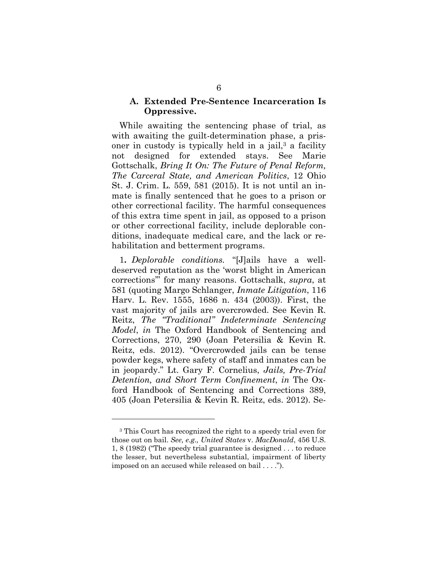### **A. Extended Pre-Sentence Incarceration Is Oppressive.**

While awaiting the sentencing phase of trial, as with awaiting the guilt-determination phase, a prisoner in custody is typically held in a jail, $3$  a facility not designed for extended stays. See Marie Gottschalk, *Bring It On: The Future of Penal Reform, The Carceral State, and American Politics*, 12 Ohio St. J. Crim. L. 559, 581 (2015). It is not until an inmate is finally sentenced that he goes to a prison or other correctional facility. The harmful consequences of this extra time spent in jail, as opposed to a prison or other correctional facility, include deplorable conditions, inadequate medical care, and the lack or rehabilitation and betterment programs.

1**.** *Deplorable conditions.* "[J]ails have a welldeserved reputation as the 'worst blight in American corrections'" for many reasons. Gottschalk, *supra*, at 581 (quoting Margo Schlanger, *Inmate Litigation*, 116 Harv. L. Rev. 1555, 1686 n. 434 (2003)). First, the vast majority of jails are overcrowded. See Kevin R. Reitz, *The "Traditional" Indeterminate Sentencing Model*, *in* The Oxford Handbook of Sentencing and Corrections, 270, 290 (Joan Petersilia & Kevin R. Reitz, eds. 2012). "Overcrowded jails can be tense powder kegs, where safety of staff and inmates can be in jeopardy." Lt. Gary F. Cornelius, *Jails, Pre-Trial Detention, and Short Term Confinement*, *in* The Oxford Handbook of Sentencing and Corrections 389, 405 (Joan Petersilia & Kevin R. Reitz, eds. 2012). Se-

<sup>3</sup> This Court has recognized the right to a speedy trial even for those out on bail. *See, e.g., United States* v. *MacDonald*, 456 U.S. 1, 8 (1982) ("The speedy trial guarantee is designed . . . to reduce the lesser, but nevertheless substantial, impairment of liberty imposed on an accused while released on bail . . . .").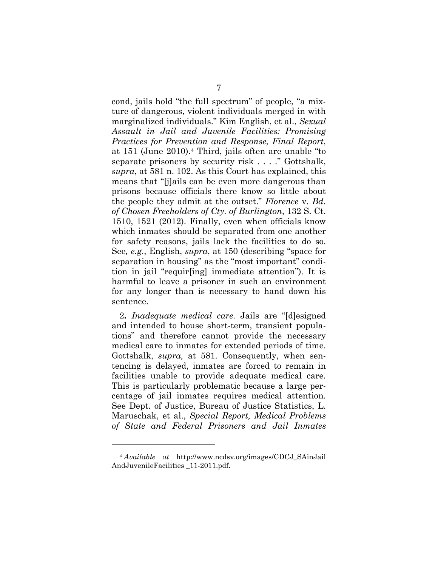cond, jails hold "the full spectrum" of people, "a mixture of dangerous, violent individuals merged in with marginalized individuals." Kim English, et al., *Sexual Assault in Jail and Juvenile Facilities: Promising Practices for Prevention and Response, Final Report*, at 151 (June 2010).4 Third, jails often are unable "to separate prisoners by security risk . . . ." Gottshalk, *supra*, at 581 n. 102. As this Court has explained, this means that "[j]ails can be even more dangerous than prisons because officials there know so little about the people they admit at the outset." *Florence* v. *Bd. of Chosen Freeholders of Cty. of Burlington*, 132 S. Ct. 1510, 1521 (2012). Finally, even when officials know which inmates should be separated from one another for safety reasons, jails lack the facilities to do so. See*, e.g.*, English, *supra*, at 150 (describing "space for separation in housing" as the "most important" condition in jail "requir[ing] immediate attention"). It is harmful to leave a prisoner in such an environment for any longer than is necessary to hand down his sentence.

2**.** *Inadequate medical care.* Jails are "[d]esigned and intended to house short-term, transient populations" and therefore cannot provide the necessary medical care to inmates for extended periods of time. Gottshalk, *supra,* at 581. Consequently, when sentencing is delayed, inmates are forced to remain in facilities unable to provide adequate medical care. This is particularly problematic because a large percentage of jail inmates requires medical attention. See Dept. of Justice, Bureau of Justice Statistics, L. Maruschak, et al., *Special Report, Medical Problems of State and Federal Prisoners and Jail Inmates*

<sup>4</sup> *Available at* http://www.ncdsv.org/images/CDCJ\_SAinJail AndJuvenileFacilities \_11-2011.pdf.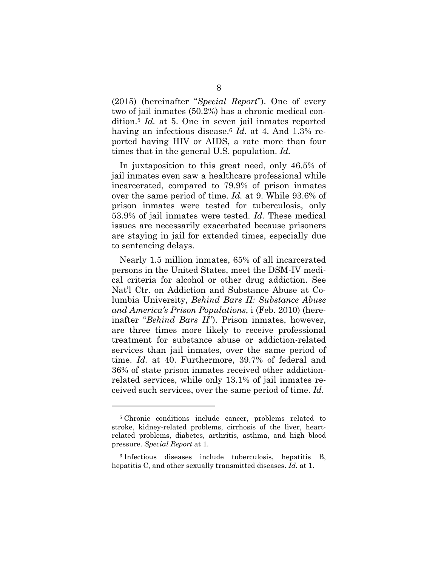(2015) (hereinafter "*Special Report*"). One of every two of jail inmates (50.2%) has a chronic medical condition.5 *Id.* at 5. One in seven jail inmates reported having an infectious disease.6 *Id.* at 4. And 1.3% reported having HIV or AIDS, a rate more than four times that in the general U.S. population. *Id.*

In juxtaposition to this great need, only 46.5% of jail inmates even saw a healthcare professional while incarcerated, compared to 79.9% of prison inmates over the same period of time. *Id.* at 9. While 93.6% of prison inmates were tested for tuberculosis, only 53.9% of jail inmates were tested. *Id.* These medical issues are necessarily exacerbated because prisoners are staying in jail for extended times, especially due to sentencing delays.

Nearly 1.5 million inmates, 65% of all incarcerated persons in the United States, meet the DSM-IV medical criteria for alcohol or other drug addiction. See Nat'l Ctr. on Addiction and Substance Abuse at Columbia University, *Behind Bars II: Substance Abuse and America's Prison Populations*, i (Feb. 2010) (hereinafter "*Behind Bars II*"). Prison inmates, however, are three times more likely to receive professional treatment for substance abuse or addiction-related services than jail inmates, over the same period of time. *Id.* at 40. Furthermore, 39.7% of federal and 36% of state prison inmates received other addictionrelated services, while only 13.1% of jail inmates received such services, over the same period of time. *Id.* 

<sup>5</sup> Chronic conditions include cancer, problems related to stroke, kidney-related problems, cirrhosis of the liver, heartrelated problems, diabetes, arthritis, asthma, and high blood pressure. *Special Report* at 1.

<sup>6</sup> Infectious diseases include tuberculosis, hepatitis B, hepatitis C, and other sexually transmitted diseases. *Id.* at 1.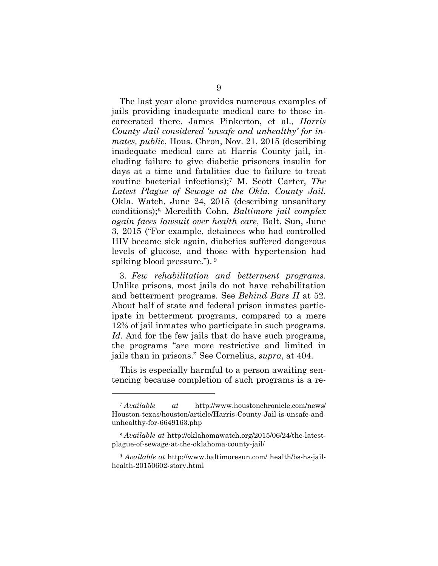The last year alone provides numerous examples of jails providing inadequate medical care to those incarcerated there. James Pinkerton, et al., *Harris County Jail considered 'unsafe and unhealthy' for inmates, public*, Hous. Chron, Nov. 21, 2015 (describing inadequate medical care at Harris County jail, including failure to give diabetic prisoners insulin for days at a time and fatalities due to failure to treat routine bacterial infections);7 M. Scott Carter, *The Latest Plague of Sewage at the Okla. County Jail*, Okla. Watch, June 24, 2015 (describing unsanitary conditions);8 Meredith Cohn, *Baltimore jail complex again faces lawsuit over health care*, Balt. Sun, June 3, 2015 ("For example, detainees who had controlled HIV became sick again, diabetics suffered dangerous levels of glucose, and those with hypertension had spiking blood pressure."). 9

3.*Few rehabilitation and betterment programs*. Unlike prisons, most jails do not have rehabilitation and betterment programs. See *Behind Bars II* at 52. About half of state and federal prison inmates participate in betterment programs, compared to a mere 12% of jail inmates who participate in such programs. *Id.* And for the few jails that do have such programs, the programs "are more restrictive and limited in jails than in prisons." See Cornelius, *supra*, at 404.

This is especially harmful to a person awaiting sentencing because completion of such programs is a re-

<sup>7</sup> *Available at* http://www.houstonchronicle.com/news/ Houston-texas/houston/article/Harris-County-Jail-is-unsafe-andunhealthy-for-6649163.php

<sup>8</sup> *Available at* http://oklahomawatch.org/2015/06/24/the-latestplague-of-sewage-at-the-oklahoma-county-jail/

<sup>9</sup> *Available at* http://www.baltimoresun.com/ health/bs-hs-jailhealth-20150602-story.html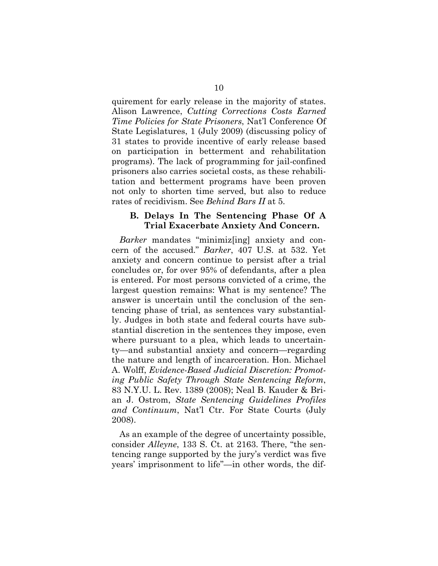quirement for early release in the majority of states. Alison Lawrence, *Cutting Corrections Costs Earned Time Policies for State Prisoners*, Nat'l Conference Of State Legislatures, 1 (July 2009) (discussing policy of 31 states to provide incentive of early release based on participation in betterment and rehabilitation programs). The lack of programming for jail-confined prisoners also carries societal costs, as these rehabilitation and betterment programs have been proven not only to shorten time served, but also to reduce rates of recidivism. See *Behind Bars II* at 5.

### **B. Delays In The Sentencing Phase Of A Trial Exacerbate Anxiety And Concern.**

*Barker* mandates "minimiz[ing] anxiety and concern of the accused." *Barker*, 407 U.S. at 532. Yet anxiety and concern continue to persist after a trial concludes or, for over 95% of defendants, after a plea is entered. For most persons convicted of a crime, the largest question remains: What is my sentence? The answer is uncertain until the conclusion of the sentencing phase of trial, as sentences vary substantially. Judges in both state and federal courts have substantial discretion in the sentences they impose, even where pursuant to a plea, which leads to uncertainty—and substantial anxiety and concern—regarding the nature and length of incarceration. Hon. Michael A. Wolff, *Evidence-Based Judicial Discretion: Promoting Public Safety Through State Sentencing Reform*, 83 N.Y.U. L. Rev. 1389 (2008); Neal B. Kauder & Brian J. Ostrom, *State Sentencing Guidelines Profiles and Continuum*, Nat'l Ctr. For State Courts (July 2008).

As an example of the degree of uncertainty possible, consider *Alleyne*, 133 S. Ct. at 2163. There, "the sentencing range supported by the jury's verdict was five years' imprisonment to life"—in other words, the dif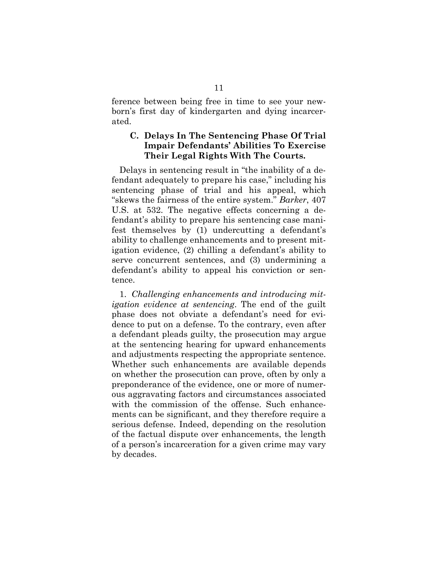ference between being free in time to see your newborn's first day of kindergarten and dying incarcerated.

## **C. Delays In The Sentencing Phase Of Trial Impair Defendants' Abilities To Exercise Their Legal Rights With The Courts.**

Delays in sentencing result in "the inability of a defendant adequately to prepare his case," including his sentencing phase of trial and his appeal, which "skews the fairness of the entire system." *Barker*, 407 U.S. at 532. The negative effects concerning a defendant's ability to prepare his sentencing case manifest themselves by (1) undercutting a defendant's ability to challenge enhancements and to present mitigation evidence, (2) chilling a defendant's ability to serve concurrent sentences, and (3) undermining a defendant's ability to appeal his conviction or sentence.

1. *Challenging enhancements and introducing mitigation evidence at sentencing*. The end of the guilt phase does not obviate a defendant's need for evidence to put on a defense. To the contrary, even after a defendant pleads guilty, the prosecution may argue at the sentencing hearing for upward enhancements and adjustments respecting the appropriate sentence. Whether such enhancements are available depends on whether the prosecution can prove, often by only a preponderance of the evidence, one or more of numerous aggravating factors and circumstances associated with the commission of the offense. Such enhancements can be significant, and they therefore require a serious defense. Indeed, depending on the resolution of the factual dispute over enhancements, the length of a person's incarceration for a given crime may vary by decades.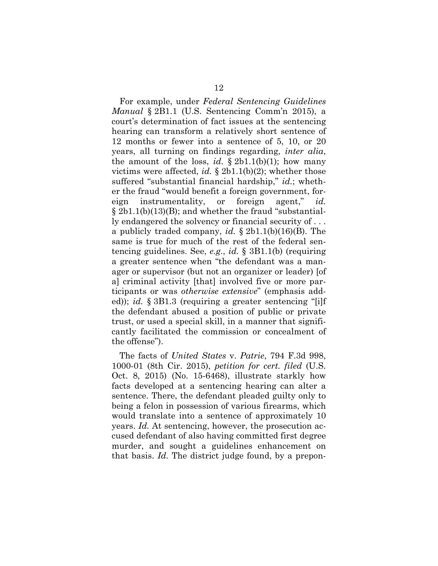For example, under *Federal Sentencing Guidelines Manual* § 2B1.1 (U.S. Sentencing Comm'n 2015), a court's determination of fact issues at the sentencing hearing can transform a relatively short sentence of 12 months or fewer into a sentence of 5, 10, or 20 years, all turning on findings regarding, *inter alia*, the amount of the loss, *id.*  $\S$  2b1.1(b)(1); how many victims were affected, *id.* § 2b1.1(b)(2); whether those suffered "substantial financial hardship," *id.*; whether the fraud "would benefit a foreign government, foreign instrumentality, or foreign agent," *id.*  $\S 2b1.1(b)(13)(B)$ ; and whether the fraud "substantially endangered the solvency or financial security of . . . a publicly traded company, *id.* § 2b1.1(b)(16)(B). The same is true for much of the rest of the federal sentencing guidelines. See, *e.g*., *id.* § 3B1.1(b) (requiring a greater sentence when "the defendant was a manager or supervisor (but not an organizer or leader) [of a] criminal activity [that] involved five or more participants or was *otherwise extensive*" (emphasis added)); *id.* § 3B1.3 (requiring a greater sentencing "[i]f the defendant abused a position of public or private trust, or used a special skill, in a manner that significantly facilitated the commission or concealment of the offense").

The facts of *United States* v. *Patrie*, 794 F.3d 998, 1000-01 (8th Cir. 2015), *petition for cert. filed* (U.S. Oct. 8, 2015) (No. 15-6468), illustrate starkly how facts developed at a sentencing hearing can alter a sentence. There, the defendant pleaded guilty only to being a felon in possession of various firearms, which would translate into a sentence of approximately 10 years. *Id.* At sentencing, however, the prosecution accused defendant of also having committed first degree murder, and sought a guidelines enhancement on that basis. *Id.* The district judge found, by a prepon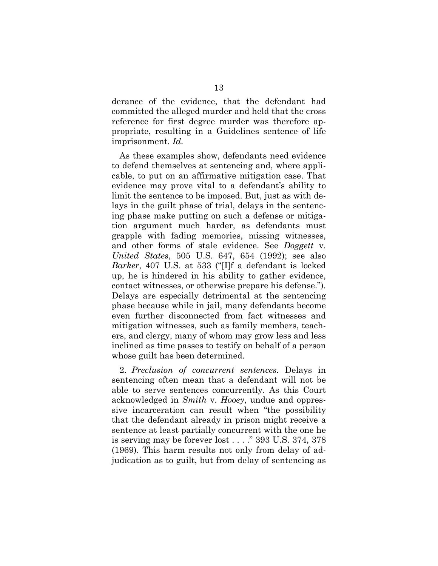derance of the evidence, that the defendant had committed the alleged murder and held that the cross reference for first degree murder was therefore appropriate, resulting in a Guidelines sentence of life imprisonment. *Id.* 

As these examples show, defendants need evidence to defend themselves at sentencing and, where applicable, to put on an affirmative mitigation case. That evidence may prove vital to a defendant's ability to limit the sentence to be imposed. But, just as with delays in the guilt phase of trial, delays in the sentencing phase make putting on such a defense or mitigation argument much harder, as defendants must grapple with fading memories, missing witnesses, and other forms of stale evidence. See *Doggett* v. *United States*, 505 U.S. 647, 654 (1992); see also *Barker*, 407 U.S. at 533 ("[I]f a defendant is locked up, he is hindered in his ability to gather evidence, contact witnesses, or otherwise prepare his defense."). Delays are especially detrimental at the sentencing phase because while in jail, many defendants become even further disconnected from fact witnesses and mitigation witnesses, such as family members, teachers, and clergy, many of whom may grow less and less inclined as time passes to testify on behalf of a person whose guilt has been determined.

2. *Preclusion of concurrent sentences.* Delays in sentencing often mean that a defendant will not be able to serve sentences concurrently. As this Court acknowledged in *Smith* v. *Hooey*, undue and oppressive incarceration can result when "the possibility that the defendant already in prison might receive a sentence at least partially concurrent with the one he is serving may be forever lost . . . ." 393 U.S. 374, 378 (1969). This harm results not only from delay of adjudication as to guilt, but from delay of sentencing as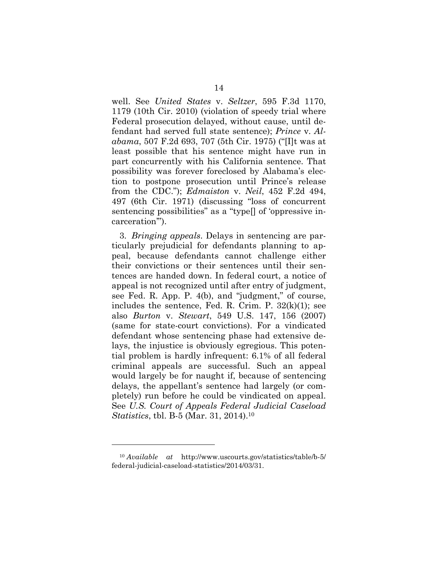well. See *United States* v. *Seltzer*, 595 F.3d 1170, 1179 (10th Cir. 2010) (violation of speedy trial where Federal prosecution delayed, without cause, until defendant had served full state sentence); *Prince* v. *Alabama*, 507 F.2d 693, 707 (5th Cir. 1975) ("[I]t was at least possible that his sentence might have run in part concurrently with his California sentence. That possibility was forever foreclosed by Alabama's election to postpone prosecution until Prince's release from the CDC."); *Edmaiston* v. *Neil*, 452 F.2d 494, 497 (6th Cir. 1971) (discussing "loss of concurrent sentencing possibilities" as a "type<sup>[]</sup> of 'oppressive incarceration'").

3. *Bringing appeals*. Delays in sentencing are particularly prejudicial for defendants planning to appeal, because defendants cannot challenge either their convictions or their sentences until their sentences are handed down. In federal court, a notice of appeal is not recognized until after entry of judgment, see Fed. R. App. P. 4(b), and "judgment," of course, includes the sentence, Fed. R. Crim. P.  $32(k)(1)$ ; see also *Burton* v. *Stewart*, 549 U.S. 147, 156 (2007) (same for state-court convictions). For a vindicated defendant whose sentencing phase had extensive delays, the injustice is obviously egregious. This potential problem is hardly infrequent: 6.1% of all federal criminal appeals are successful. Such an appeal would largely be for naught if, because of sentencing delays, the appellant's sentence had largely (or completely) run before he could be vindicated on appeal. See *U.S. Court of Appeals Federal Judicial Caseload Statistics*, tbl. B-5 (Mar. 31, 2014).10

<sup>10</sup> *Available at* http://www.uscourts.gov/statistics/table/b-5/ federal-judicial-caseload-statistics/2014/03/31.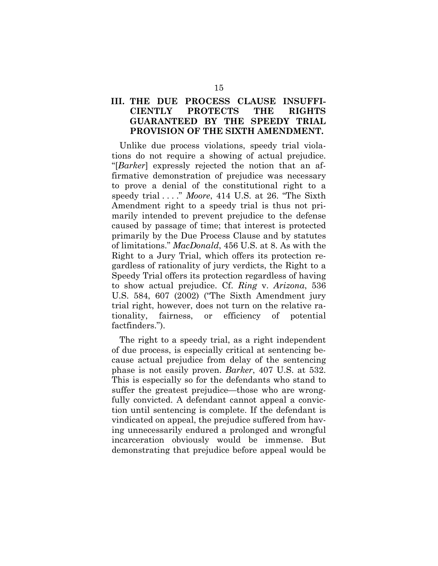## **III. THE DUE PROCESS CLAUSE INSUFFI-CIENTLY PROTECTS THE RIGHTS GUARANTEED BY THE SPEEDY TRIAL PROVISION OF THE SIXTH AMENDMENT.**

Unlike due process violations, speedy trial violations do not require a showing of actual prejudice. "[*Barker*] expressly rejected the notion that an affirmative demonstration of prejudice was necessary to prove a denial of the constitutional right to a speedy trial . . . ." *Moore*, 414 U.S. at 26. "The Sixth Amendment right to a speedy trial is thus not primarily intended to prevent prejudice to the defense caused by passage of time; that interest is protected primarily by the Due Process Clause and by statutes of limitations." *MacDonald*, 456 U.S. at 8. As with the Right to a Jury Trial, which offers its protection regardless of rationality of jury verdicts, the Right to a Speedy Trial offers its protection regardless of having to show actual prejudice. Cf. *Ring* v. *Arizona*, 536 U.S. 584, 607 (2002) ("The Sixth Amendment jury trial right, however, does not turn on the relative rationality, fairness, or efficiency of potential factfinders.").

The right to a speedy trial, as a right independent of due process, is especially critical at sentencing because actual prejudice from delay of the sentencing phase is not easily proven. *Barker*, 407 U.S. at 532. This is especially so for the defendants who stand to suffer the greatest prejudice—those who are wrongfully convicted. A defendant cannot appeal a conviction until sentencing is complete. If the defendant is vindicated on appeal, the prejudice suffered from having unnecessarily endured a prolonged and wrongful incarceration obviously would be immense. But demonstrating that prejudice before appeal would be